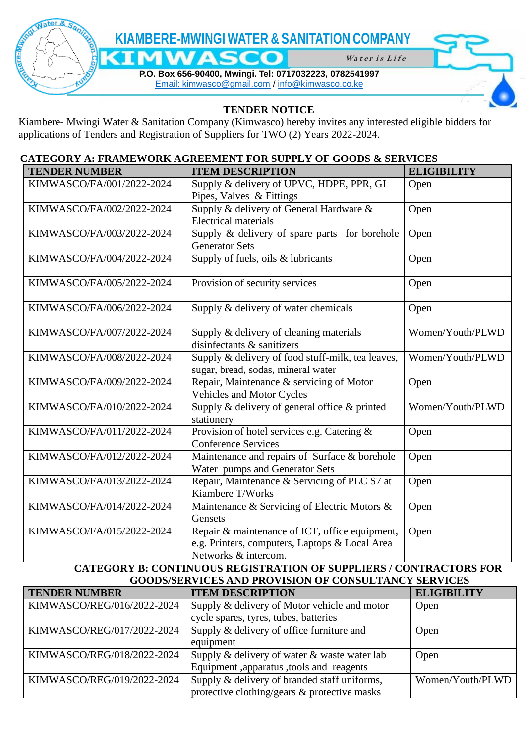

## **TENDER NOTICE**

Kiambere- Mwingi Water & Sanitation Company (Kimwasco) hereby invites any interested eligible bidders for applications of Tenders and Registration of Suppliers for TWO (2) Years 2022-2024.

## **CATEGORY A: FRAMEWORK AGREEMENT FOR SUPPLY OF GOODS & SERVICES**

| <b>TENDER NUMBER</b>      | <b>ITEM DESCRIPTION</b>                                                                                                  | <b>ELIGIBILITY</b> |
|---------------------------|--------------------------------------------------------------------------------------------------------------------------|--------------------|
| KIMWASCO/FA/001/2022-2024 | Supply & delivery of UPVC, HDPE, PPR, GI<br>Pipes, Valves & Fittings                                                     | Open               |
| KIMWASCO/FA/002/2022-2024 | Supply & delivery of General Hardware &<br><b>Electrical materials</b>                                                   | Open               |
| KIMWASCO/FA/003/2022-2024 | Supply & delivery of spare parts for borehole<br><b>Generator Sets</b>                                                   | Open               |
| KIMWASCO/FA/004/2022-2024 | Supply of fuels, oils & lubricants                                                                                       | Open               |
| KIMWASCO/FA/005/2022-2024 | Provision of security services                                                                                           | Open               |
| KIMWASCO/FA/006/2022-2024 | Supply & delivery of water chemicals                                                                                     | Open               |
| KIMWASCO/FA/007/2022-2024 | Supply & delivery of cleaning materials<br>disinfectants & sanitizers                                                    | Women/Youth/PLWD   |
| KIMWASCO/FA/008/2022-2024 | Supply & delivery of food stuff-milk, tea leaves,<br>sugar, bread, sodas, mineral water                                  | Women/Youth/PLWD   |
| KIMWASCO/FA/009/2022-2024 | Repair, Maintenance & servicing of Motor<br><b>Vehicles and Motor Cycles</b>                                             | Open               |
| KIMWASCO/FA/010/2022-2024 | Supply & delivery of general office & printed<br>stationery                                                              | Women/Youth/PLWD   |
| KIMWASCO/FA/011/2022-2024 | Provision of hotel services e.g. Catering &<br><b>Conference Services</b>                                                | Open               |
| KIMWASCO/FA/012/2022-2024 | Maintenance and repairs of Surface & borehole<br>Water pumps and Generator Sets                                          | Open               |
| KIMWASCO/FA/013/2022-2024 | Repair, Maintenance & Servicing of PLC S7 at<br>Kiambere T/Works                                                         | Open               |
| KIMWASCO/FA/014/2022-2024 | Maintenance & Servicing of Electric Motors &<br>Gensets                                                                  | Open               |
| KIMWASCO/FA/015/2022-2024 | Repair & maintenance of ICT, office equipment,<br>e.g. Printers, computers, Laptops & Local Area<br>Networks & intercom. | Open               |

## **CATEGORY B: CONTINUOUS REGISTRATION OF SUPPLIERS / CONTRACTORS FOR GOODS/SERVICES AND PROVISION OF CONSULTANCY SERVICES**

| <b>TENDER NUMBER</b>       | <b>ITEM DESCRIPTION</b>                      | <b>ELIGIBILITY</b> |
|----------------------------|----------------------------------------------|--------------------|
| KIMWASCO/REG/016/2022-2024 | Supply & delivery of Motor vehicle and motor | Open               |
|                            | cycle spares, tyres, tubes, batteries        |                    |
| KIMWASCO/REG/017/2022-2024 | Supply & delivery of office furniture and    | Open               |
|                            | equipment                                    |                    |
| KIMWASCO/REG/018/2022-2024 | Supply & delivery of water & waste water lab | Open               |
|                            | Equipment, apparatus, tools and reagents     |                    |
| KIMWASCO/REG/019/2022-2024 | Supply & delivery of branded staff uniforms, | Women/Youth/PLWD   |
|                            | protective clothing/gears & protective masks |                    |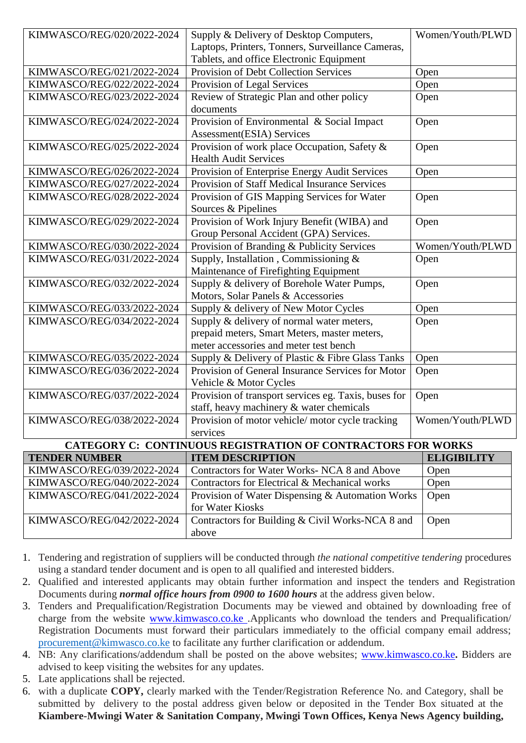| KIMWASCO/REG/020/2022-2024                                   | Supply & Delivery of Desktop Computers,              | Women/Youth/PLWD   |  |
|--------------------------------------------------------------|------------------------------------------------------|--------------------|--|
|                                                              | Laptops, Printers, Tonners, Surveillance Cameras,    |                    |  |
|                                                              | Tablets, and office Electronic Equipment             |                    |  |
| KIMWASCO/REG/021/2022-2024                                   | Provision of Debt Collection Services                | Open               |  |
| KIMWASCO/REG/022/2022-2024                                   | Provision of Legal Services                          | Open               |  |
| KIMWASCO/REG/023/2022-2024                                   | Review of Strategic Plan and other policy            | Open               |  |
|                                                              | documents                                            |                    |  |
| KIMWASCO/REG/024/2022-2024                                   | Provision of Environmental & Social Impact           | Open               |  |
|                                                              | Assessment(ESIA) Services                            |                    |  |
| KIMWASCO/REG/025/2022-2024                                   | Provision of work place Occupation, Safety &         | Open               |  |
|                                                              | <b>Health Audit Services</b>                         |                    |  |
| KIMWASCO/REG/026/2022-2024                                   | Provision of Enterprise Energy Audit Services        | Open               |  |
| KIMWASCO/REG/027/2022-2024                                   | <b>Provision of Staff Medical Insurance Services</b> |                    |  |
| KIMWASCO/REG/028/2022-2024                                   | Provision of GIS Mapping Services for Water          | Open               |  |
|                                                              | Sources & Pipelines                                  |                    |  |
| KIMWASCO/REG/029/2022-2024                                   | Provision of Work Injury Benefit (WIBA) and          | Open               |  |
|                                                              | Group Personal Accident (GPA) Services.              |                    |  |
| KIMWASCO/REG/030/2022-2024                                   | Provision of Branding & Publicity Services           | Women/Youth/PLWD   |  |
| KIMWASCO/REG/031/2022-2024                                   | Supply, Installation, Commissioning &                | Open               |  |
|                                                              | Maintenance of Firefighting Equipment                |                    |  |
| KIMWASCO/REG/032/2022-2024                                   | Supply & delivery of Borehole Water Pumps,           | Open               |  |
|                                                              | Motors, Solar Panels & Accessories                   |                    |  |
| KIMWASCO/REG/033/2022-2024                                   | Supply & delivery of New Motor Cycles                | Open               |  |
| KIMWASCO/REG/034/2022-2024                                   | Supply & delivery of normal water meters,            | Open               |  |
|                                                              | prepaid meters, Smart Meters, master meters,         |                    |  |
|                                                              | meter accessories and meter test bench               |                    |  |
| KIMWASCO/REG/035/2022-2024                                   | Supply & Delivery of Plastic & Fibre Glass Tanks     | Open               |  |
| KIMWASCO/REG/036/2022-2024                                   | Provision of General Insurance Services for Motor    | Open               |  |
|                                                              | Vehicle & Motor Cycles                               |                    |  |
| KIMWASCO/REG/037/2022-2024                                   | Provision of transport services eg. Taxis, buses for | Open               |  |
|                                                              | staff, heavy machinery & water chemicals             |                    |  |
| KIMWASCO/REG/038/2022-2024                                   | Provision of motor vehicle/motor cycle tracking      | Women/Youth/PLWD   |  |
|                                                              | services                                             |                    |  |
| CATEGORY C: CONTINUOUS REGISTRATION OF CONTRACTORS FOR WORKS |                                                      |                    |  |
| <b>TENDER NUMBER</b>                                         | <b>ITEM DESCRIPTION</b>                              | <b>ELIGIBILITY</b> |  |
| KIMWASCO/REG/039/2022-2024                                   | Contractors for Water Works- NCA 8 and Above         | Open               |  |
| KIMWASCO/REG/040/2022-2024                                   | Contractors for Electrical & Mechanical works        | Open               |  |
| KIMWASCO/REG/041/2022-2024                                   | Provision of Water Dispensing & Automation Works     | Open               |  |
|                                                              | for Water Kiosks                                     |                    |  |
| KIMWASCO/REG/042/2022-2024                                   | Contractors for Building & Civil Works-NCA 8 and     | Open               |  |
|                                                              | above                                                |                    |  |

1. Tendering and registration of suppliers will be conducted through *the national competitive tendering* procedures using a standard tender document and is open to all qualified and interested bidders.

- 2. Qualified and interested applicants may obtain further information and inspect the tenders and Registration Documents during *normal office hours from 0900 to 1600 hours* at the address given below.
- 3. Tenders and Prequalification/Registration Documents may be viewed and obtained by downloading free of charge from the website **www.kimwasco.co.ke** .Applicants who download the tenders and Prequalification/ Registration Documents must forward their particulars immediately to the official company email address; [procurement@kimwasco.co.ke](mailto:info@kimwasco.co.ke) to facilitate any further clarification or addendum.
- 4. NB: Any clarifications/addendum shall be posted on the above websites; [www.kimwasco.co.ke](http://www.kimwasco.co.ke/)**.** Bidders are advised to keep visiting the websites for any updates.
- 5. Late applications shall be rejected.
- 6. with a duplicate **COPY,** clearly marked with the Tender/Registration Reference No. and Category, shall be submitted by delivery to the postal address given below or deposited in the Tender Box situated at the **Kiambere-Mwingi Water & Sanitation Company, Mwingi Town Offices, Kenya News Agency building,**